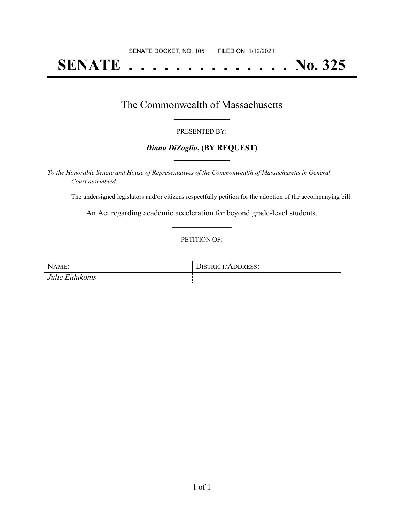# **SENATE . . . . . . . . . . . . . . No. 325**

## The Commonwealth of Massachusetts **\_\_\_\_\_\_\_\_\_\_\_\_\_\_\_\_\_**

#### PRESENTED BY:

#### *Diana DiZoglio***, (BY REQUEST) \_\_\_\_\_\_\_\_\_\_\_\_\_\_\_\_\_**

*To the Honorable Senate and House of Representatives of the Commonwealth of Massachusetts in General Court assembled:*

The undersigned legislators and/or citizens respectfully petition for the adoption of the accompanying bill:

An Act regarding academic acceleration for beyond grade-level students. **\_\_\_\_\_\_\_\_\_\_\_\_\_\_\_**

PETITION OF:

NAME: DISTRICT/ADDRESS: *Julie Eidukonis*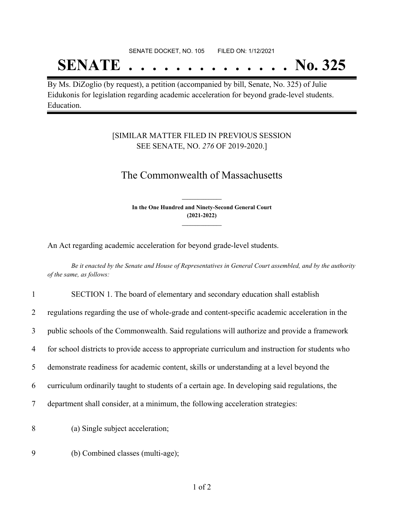#### SENATE DOCKET, NO. 105 FILED ON: 1/12/2021

## **SENATE . . . . . . . . . . . . . . No. 325**

By Ms. DiZoglio (by request), a petition (accompanied by bill, Senate, No. 325) of Julie Eidukonis for legislation regarding academic acceleration for beyond grade-level students. Education.

### [SIMILAR MATTER FILED IN PREVIOUS SESSION SEE SENATE, NO. *276* OF 2019-2020.]

## The Commonwealth of Massachusetts

**In the One Hundred and Ninety-Second General Court (2021-2022) \_\_\_\_\_\_\_\_\_\_\_\_\_\_\_**

**\_\_\_\_\_\_\_\_\_\_\_\_\_\_\_**

An Act regarding academic acceleration for beyond grade-level students.

Be it enacted by the Senate and House of Representatives in General Court assembled, and by the authority *of the same, as follows:*

| $\mathbf{1}$ | SECTION 1. The board of elementary and secondary education shall establish                        |
|--------------|---------------------------------------------------------------------------------------------------|
| 2            | regulations regarding the use of whole-grade and content-specific academic acceleration in the    |
| 3            | public schools of the Commonwealth. Said regulations will authorize and provide a framework       |
| 4            | for school districts to provide access to appropriate curriculum and instruction for students who |
| 5            | demonstrate readiness for academic content, skills or understanding at a level beyond the         |
| 6            | curriculum ordinarily taught to students of a certain age. In developing said regulations, the    |
| 7            | department shall consider, at a minimum, the following acceleration strategies:                   |
| 8            | (a) Single subject acceleration;                                                                  |
| 9            | (b) Combined classes (multi-age);                                                                 |